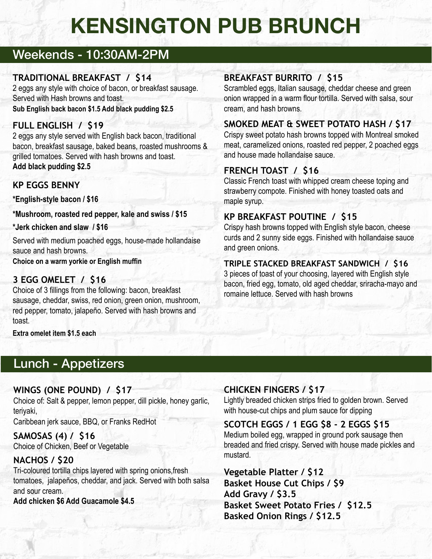# **KENSINGTON PUB BRUNCH**

# Weekends - 10:30AM-2PM

## **TRADITIONAL BREAKFAST / \$14**

2 eggs any style with choice of bacon, or breakfast sausage. Served with Hash browns and toast.

**Sub English back bacon \$1.5 Add black pudding \$2.5**

# **FULL ENGLISH / \$19**

2 eggs any style served with English back bacon, traditional bacon, breakfast sausage, baked beans, roasted mushrooms & grilled tomatoes. Served with hash browns and toast. **Add black pudding \$2.5**

# **KP EGGS BENNY**

**\*English-style bacon / \$16**

**\*Mushroom, roasted red pepper, kale and swiss / \$15**

**\*Jerk chicken and slaw / \$16**

Served with medium poached eggs, house-made hollandaise sauce and hash browns.

**Choice on a warm yorkie or English muffin**

## **3 EGG OMELET / \$16**

Choice of 3 fillings from the following: bacon, breakfast sausage, cheddar, swiss, red onion, green onion, mushroom, red pepper, tomato, jalapeño. Served with hash browns and toast.

**Extra omelet item \$1.5 each**

# Lunch - Appetizers

## **WINGS (ONE POUND) / \$17**

Choice of: Salt & pepper, lemon pepper, dill pickle, honey garlic, teriyaki,

Caribbean jerk sauce, BBQ, or Franks RedHot

# **SAMOSAS (4) / \$16**

Choice of Chicken, Beef or Vegetable

## **NACHOS / \$20**

Tri-coloured tortilla chips layered with spring onions,fresh tomatoes, jalapeños, cheddar, and jack. Served with both salsa and sour cream.

**Add chicken \$6 Add Guacamole \$4.5**

## **BREAKFAST BURRITO / \$15**

Scrambled eggs, Italian sausage, cheddar cheese and green onion wrapped in a warm flour tortilla. Served with salsa, sour cream, and hash browns.

# **SMOKED MEAT & SWEET POTATO HASH / \$17**

Crispy sweet potato hash browns topped with Montreal smoked meat, caramelized onions, roasted red pepper, 2 poached eggs and house made hollandaise sauce.

# **FRENCH TOAST / \$16**

Classic French toast with whipped cream cheese toping and strawberry compote. Finished with honey toasted oats and maple syrup.

# **KP BREAKFAST POUTINE / \$15**

Crispy hash browns topped with English style bacon, cheese curds and 2 sunny side eggs. Finished with hollandaise sauce and green onions.

# **TRIPLE STACKED BREAKFAST SANDWICH / \$16**

3 pieces of toast of your choosing, layered with English style bacon, fried egg, tomato, old aged cheddar, sriracha-mayo and romaine lettuce. Served with hash browns

# **CHICKEN FINGERS / \$17**

Lightly breaded chicken strips fried to golden brown. Served with house-cut chips and plum sauce for dipping

#### **SCOTCH EGGS / 1 EGG \$8 - 2 EGGS \$15**

Medium boiled egg, wrapped in ground pork sausage then breaded and fried crispy. Served with house made pickles and mustard.

**Vegetable Platter / \$12 Basket House Cut Chips / \$9 Add Gravy / \$3.5 Basket Sweet Potato Fries / \$12.5 Basked Onion Rings / \$12.5**